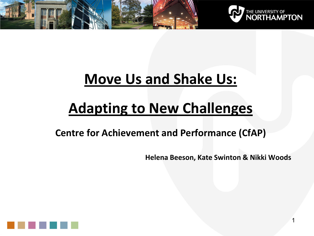



# **Move Us and Shake Us:**

# **Adapting to New Challenges**

**Centre for Achievement and Performance (CfAP)**

**Helena Beeson, Kate Swinton & Nikki Woods** 

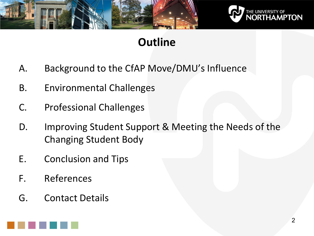

![](_page_1_Picture_1.jpeg)

# **Outline**

- A. Background to the CfAP Move/DMU's Influence
- B. Environmental Challenges
- C. Professional Challenges
- D. Improving Student Support & Meeting the Needs of the Changing Student Body
- E. Conclusion and Tips
- F. References
- G. Contact Details

![](_page_1_Figure_10.jpeg)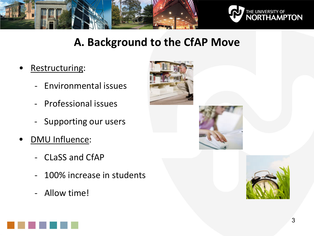![](_page_2_Picture_0.jpeg)

![](_page_2_Picture_1.jpeg)

## **A. Background to the CfAP Move**

- Restructuring:
	- Environmental issues
	- Professional issues
	- Supporting our users
- **DMU Influence:** 
	- CLaSS and CfAP
	- 100% increase in students
	- Allow time!

![](_page_2_Picture_11.jpeg)

![](_page_2_Picture_12.jpeg)

![](_page_2_Picture_13.jpeg)

![](_page_2_Figure_14.jpeg)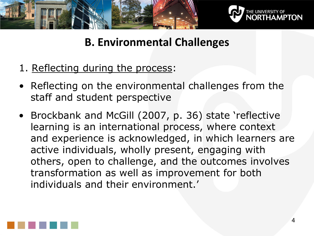![](_page_3_Picture_0.jpeg)

![](_page_3_Picture_1.jpeg)

## **B. Environmental Challenges**

- 1. Reflecting during the process:
- Reflecting on the environmental challenges from the staff and student perspective
- Brockbank and McGill (2007, p. 36) state 'reflective learning is an international process, where context and experience is acknowledged, in which learners are active individuals, wholly present, engaging with others, open to challenge, and the outcomes involves transformation as well as improvement for both individuals and their environment.'

![](_page_3_Picture_6.jpeg)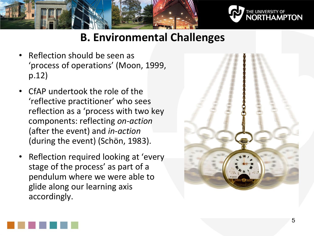![](_page_4_Picture_0.jpeg)

![](_page_4_Picture_1.jpeg)

## **B. Environmental Challenges**

- Reflection should be seen as 'process of operations' (Moon, 1999, p.12)
- CfAP undertook the role of the 'reflective practitioner' who sees reflection as a 'process with two key components: reflecting *on-action* (after the event) and *in-action* (during the event) (Schön, 1983).
- Reflection required looking at 'every stage of the process' as part of a pendulum where we were able to glide along our learning axis accordingly.

![](_page_4_Picture_6.jpeg)

![](_page_4_Picture_7.jpeg)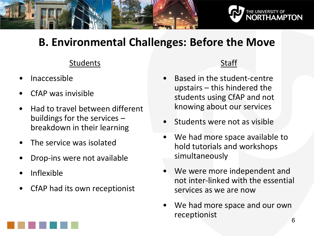![](_page_5_Picture_0.jpeg)

# **B. Environmental Challenges: Before the Move**

#### **Students**

- Inaccessible
- CfAP was invisible
- Had to travel between different buildings for the services – breakdown in their learning
- The service was isolated
- Drop-ins were not available
- Inflexible
- CfAP had its own receptionist

#### Staff

- Based in the student-centre upstairs – this hindered the students using CfAP and not knowing about our services
- Students were not as visible
- We had more space available to hold tutorials and workshops simultaneously
- We were more independent and not inter-linked with the essential services as we are now
- We had more space and our own receptionist 6

![](_page_5_Figure_16.jpeg)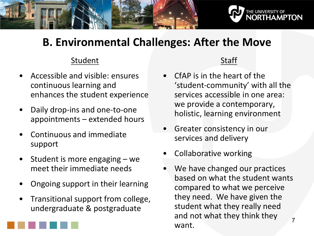![](_page_6_Picture_0.jpeg)

# **B. Environmental Challenges: After the Move**

#### Student

- Accessible and visible: ensures continuous learning and enhances the student experience
- Daily drop-ins and one-to-one appointments – extended hours
- Continuous and immediate support
- Student is more engaging  $-$  we meet their immediate needs
- Ongoing support in their learning
- Transitional support from college, undergraduate & postgraduate

![](_page_6_Figure_9.jpeg)

- CfAP is in the heart of the 'student-community' with all the services accessible in one area: we provide a contemporary, holistic, learning environment
- Greater consistency in our services and delivery
- Collaborative working
- We have changed our practices based on what the student wants compared to what we perceive they need. We have given the student what they really need and not what they think they want. 7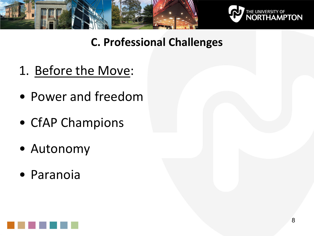![](_page_7_Picture_0.jpeg)

![](_page_7_Picture_1.jpeg)

- 1. Before the Move:
- Power and freedom
- CfAP Champions
- Autonomy
- Paranoia

![](_page_7_Picture_8.jpeg)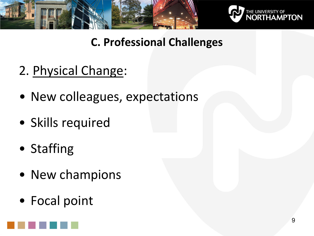![](_page_8_Picture_0.jpeg)

![](_page_8_Picture_1.jpeg)

- 2. Physical Change:
- New colleagues, expectations
- Skills required
- Staffing
- New champions
- Focal point

![](_page_8_Picture_9.jpeg)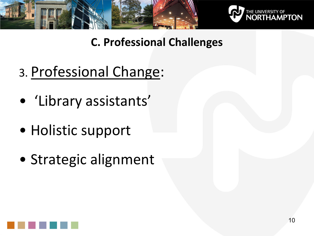![](_page_9_Picture_0.jpeg)

![](_page_9_Picture_1.jpeg)

- 3. Professional Change:
- 'Library assistants'
- Holistic support
- Strategic alignment

![](_page_9_Picture_7.jpeg)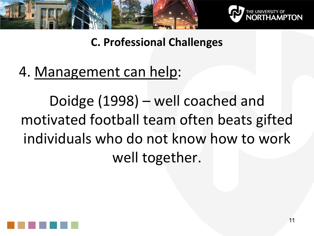![](_page_10_Picture_0.jpeg)

![](_page_10_Picture_1.jpeg)

# 4. Management can help:

Doidge (1998) – well coached and motivated football team often beats gifted individuals who do not know how to work well together.

![](_page_10_Picture_5.jpeg)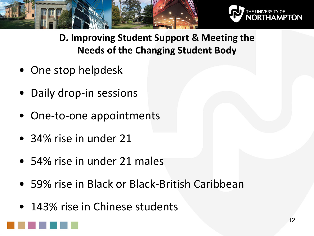![](_page_11_Picture_0.jpeg)

![](_page_11_Picture_1.jpeg)

**D. Improving Student Support & Meeting the Needs of the Changing Student Body**

- One stop helpdesk
- Daily drop-in sessions
- One-to-one appointments
- 34% rise in under 21
- 54% rise in under 21 males
- 59% rise in Black or Black-British Caribbean
- 143% rise in Chinese students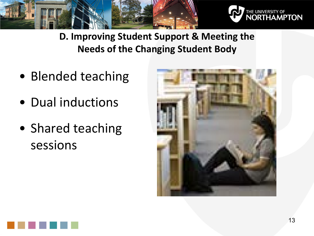![](_page_12_Picture_0.jpeg)

![](_page_12_Picture_1.jpeg)

**D. Improving Student Support & Meeting the Needs of the Changing Student Body**

- Blended teaching
- Dual inductions
- Shared teaching sessions

![](_page_12_Picture_6.jpeg)

![](_page_12_Picture_7.jpeg)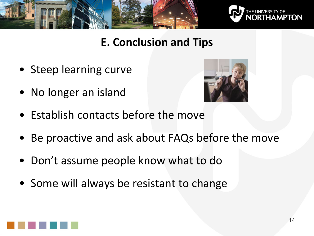![](_page_13_Picture_0.jpeg)

![](_page_13_Picture_1.jpeg)

## **E. Conclusion and Tips**

- Steep learning curve
- No longer an island

![](_page_13_Picture_5.jpeg)

- Establish contacts before the move
- Be proactive and ask about FAQs before the move
- Don't assume people know what to do
- Some will always be resistant to change

![](_page_13_Picture_10.jpeg)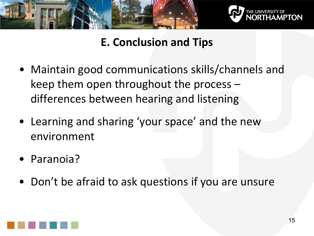![](_page_14_Picture_0.jpeg)

![](_page_14_Picture_1.jpeg)

# **E. Conclusion and Tips**

- Maintain good communications skills/channels and keep them open throughout the process – differences between hearing and listening
- Learning and sharing 'your space' and the new environment
- Paranoia?
- Don't be afraid to ask questions if you are unsure

![](_page_14_Picture_7.jpeg)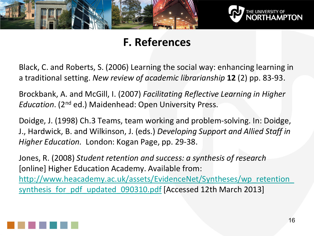![](_page_15_Picture_0.jpeg)

![](_page_15_Picture_1.jpeg)

## **F. References**

Black, C. and Roberts, S. (2006) Learning the social way: enhancing learning in a traditional setting. *New review of academic librarianship* **12** (2) pp. 83-93.

Brockbank, A. and McGill, I. (2007) *Facilitating Reflective Learning in Higher Education*. (2nd ed.) Maidenhead: Open University Press.

Doidge, J. (1998) Ch.3 Teams, team working and problem-solving. In: Doidge, J., Hardwick, B. and Wilkinson, J. (eds.) *Developing Support and Allied Staff in Higher Education.* London: Kogan Page, pp. 29-38.

Jones, R. (2008) *Student retention and success: a synthesis of research* [online] Higher Education Academy. Available from: http://www.heacademy.ac.uk/assets/EvidenceNet/Syntheses/wp\_retention synthesis for pdf updated 090310.pdf [Accessed 12th March 2013]

![](_page_15_Picture_7.jpeg)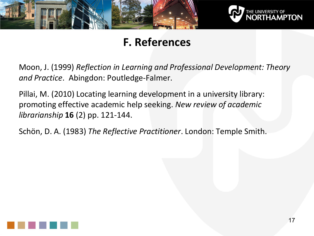![](_page_16_Picture_0.jpeg)

![](_page_16_Picture_1.jpeg)

## **F. References**

Moon, J. (1999) *Reflection in Learning and Professional Development: Theory and Practice*. Abingdon: Poutledge-Falmer.

Pillai, M. (2010) Locating learning development in a university library: promoting effective academic help seeking. *New review of academic librarianship* **16** (2) pp. 121-144.

Schön, D. A. (1983) *The Reflective Practitioner*. London: Temple Smith.

![](_page_16_Picture_6.jpeg)